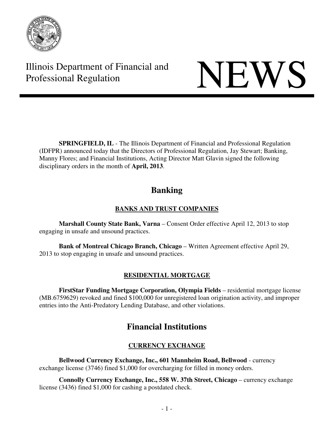

Illinois Department of Financial and Illinois Department of Financial and<br>Professional Regulation

**SPRINGFIELD, IL** - The Illinois Department of Financial and Professional Regulation (IDFPR) announced today that the Directors of Professional Regulation, Jay Stewart; Banking, Manny Flores; and Financial Institutions, Acting Director Matt Glavin signed the following disciplinary orders in the month of **April, 2013**.

# **Banking**

## **BANKS AND TRUST COMPANIES**

 **Marshall County State Bank, Varna** – Consent Order effective April 12, 2013 to stop engaging in unsafe and unsound practices.

 **Bank of Montreal Chicago Branch, Chicago** – Written Agreement effective April 29, 2013 to stop engaging in unsafe and unsound practices.

## **RESIDENTIAL MORTGAGE**

 **FirstStar Funding Mortgage Corporation, Olympia Fields** – residential mortgage license (MB.6759629) revoked and fined \$100,000 for unregistered loan origination activity, and improper entries into the Anti-Predatory Lending Database, and other violations.

# **Financial Institutions**

## **CURRENCY EXCHANGE**

 **Bellwood Currency Exchange, Inc., 601 Mannheim Road, Bellwood** - currency exchange license (3746) fined \$1,000 for overcharging for filled in money orders.

 **Connolly Currency Exchange, Inc., 558 W. 37th Street, Chicago** – currency exchange license (3436) fined \$1,000 for cashing a postdated check.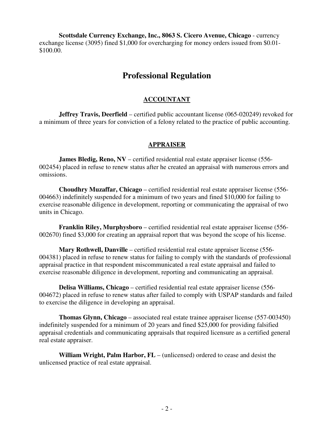**Scottsdale Currency Exchange, Inc., 8063 S. Cicero Avenue, Chicago** - currency exchange license (3095) fined \$1,000 for overcharging for money orders issued from \$0.01- \$100.00.

## **Professional Regulation**

#### **ACCOUNTANT**

**Jeffrey Travis, Deerfield** – certified public accountant license (065-020249) revoked for a minimum of three years for conviction of a felony related to the practice of public accounting.

#### **APPRAISER**

**James Bledig, Reno, NV** – certified residential real estate appraiser license (556-002454) placed in refuse to renew status after he created an appraisal with numerous errors and omissions.

**Choudhry Muzaffar, Chicago** – certified residential real estate appraiser license (556- 004663) indefinitely suspended for a minimum of two years and fined \$10,000 for failing to exercise reasonable diligence in development, reporting or communicating the appraisal of two units in Chicago.

**Franklin Riley, Murphysboro** – certified residential real estate appraiser license (556- 002670) fined \$3,000 for creating an appraisal report that was beyond the scope of his license.

**Mary Rothwell, Danville** – certified residential real estate appraiser license (556- 004381) placed in refuse to renew status for failing to comply with the standards of professional appraisal practice in that respondent miscommunicated a real estate appraisal and failed to exercise reasonable diligence in development, reporting and communicating an appraisal.

**Delisa Williams, Chicago** – certified residential real estate appraiser license (556- 004672) placed in refuse to renew status after failed to comply with USPAP standards and failed to exercise the diligence in developing an appraisal.

**Thomas Glynn, Chicago** – associated real estate trainee appraiser license (557-003450) indefinitely suspended for a minimum of 20 years and fined \$25,000 for providing falsified appraisal credentials and communicating appraisals that required licensure as a certified general real estate appraiser.

**William Wright, Palm Harbor, FL** – (unlicensed) ordered to cease and desist the unlicensed practice of real estate appraisal.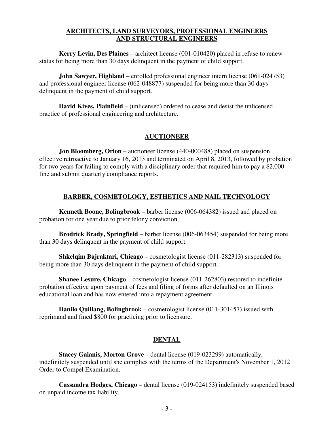#### **ARCHITECTS, LAND SURVEYORS, PROFESSIONAL ENGINEERS AND STRUCTURAL ENGINEERS**

**Kerry Levin, Des Plaines** – architect license (001-010420) placed in refuse to renew status for being more than 30 days delinquent in the payment of child support.

**John Sawyer, Highland** – enrolled professional engineer intern license (061-024753) and professional engineer license (062-048877) suspended for being more than 30 days delinquent in the payment of child support.

**David Kives, Plainfield** – (unlicensed) ordered to cease and desist the unlicensed practice of professional engineering and architecture.

#### **AUCTIONEER**

**Jon Bloomberg, Orion** – auctioneer license (440-000488) placed on suspension effective retroactive to January 16, 2013 and terminated on April 8, 2013, followed by probation for two years for failing to comply with a disciplinary order that required him to pay a \$2,000 fine and submit quarterly compliance reports.

#### **BARBER, COSMETOLOGY, ESTHETICS AND NAIL TECHNOLOGY**

**Kenneth Boone, Bolingbrook** – barber license (006-064382) issued and placed on probation for one year due to prior felony conviction.

**Brodrick Brady, Springfield** – barber license (006-063454) suspended for being more than 30 days delinquent in the payment of child support.

**Shkelqim Bajraktari, Chicago** – cosmetologist license (011-282313) suspended for being more than 30 days delinquent in the payment of child support.

**Shanee Lesure, Chicago** – cosmetologist license (011-262803) restored to indefinite probation effective upon payment of fees and filing of forms after defaulted on an Illinois educational loan and has now entered into a repayment agreement.

**Danilo Quillang, Bolingbrook** – cosmetologist license (011-301457) issued with reprimand and fined \$800 for practicing prior to licensure.

### **DENTAL**

**Stacey Galanis, Morton Grove** – dental license (019-023299) automatically, indefinitely suspended until she complies with the terms of the Department's November 1, 2012 Order to Compel Examination.

**Cassandra Hodges, Chicago** – dental license (019-024153) indefinitely suspended based on unpaid income tax liability.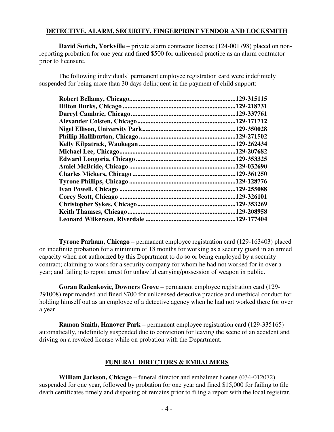#### **DETECTIVE, ALARM, SECURITY, FINGERPRINT VENDOR AND LOCKSMITH**

**David Sorich, Yorkville** – private alarm contractor license (124-001798) placed on nonreporting probation for one year and fined \$500 for unlicensed practice as an alarm contractor prior to licensure.

The following individuals' permanent employee registration card were indefinitely suspended for being more than 30 days delinquent in the payment of child support:

|                         | .129-315115 |
|-------------------------|-------------|
|                         | .129-218731 |
|                         | .129-337761 |
|                         | 129-171712. |
|                         | .129-350028 |
|                         | .129-271502 |
|                         | .129-262434 |
|                         | .129-207682 |
|                         | .129-353325 |
|                         | .129-032690 |
|                         | .129-361250 |
|                         | .129-128776 |
|                         | .129-255088 |
|                         | .129-326101 |
|                         | .129-353269 |
| Keith Thamses, Chicago. | .129-208958 |
|                         | .129-177404 |
|                         |             |

**Tyrone Parham, Chicago** – permanent employee registration card (129-163403) placed on indefinite probation for a minimum of 18 months for working as a security guard in an armed capacity when not authorized by this Department to do so or being employed by a security contract; claiming to work for a security company for whom he had not worked for in over a year; and failing to report arrest for unlawful carrying/possession of weapon in public.

**Goran Radenkovic, Downers Grove** – permanent employee registration card (129- 291008) reprimanded and fined \$700 for unlicensed detective practice and unethical conduct for holding himself out as an employee of a detective agency when he had not worked there for over a year

**Ramon Smith, Hanover Park** – permanent employee registration card (129-335165) automatically, indefinitely suspended due to conviction for leaving the scene of an accident and driving on a revoked license while on probation with the Department.

#### **FUNERAL DIRECTORS & EMBALMERS**

**William Jackson, Chicago** – funeral director and embalmer license (034-012072) suspended for one year, followed by probation for one year and fined \$15,000 for failing to file death certificates timely and disposing of remains prior to filing a report with the local registrar.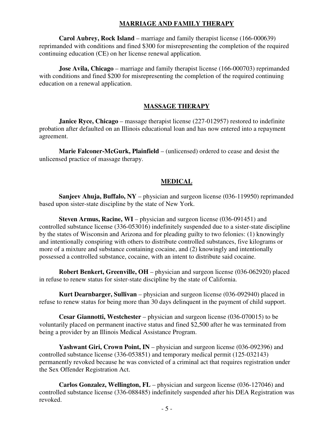#### **MARRIAGE AND FAMILY THERAPY**

**Carol Aubrey, Rock Island** – marriage and family therapist license (166-000639) reprimanded with conditions and fined \$300 for misrepresenting the completion of the required continuing education (CE) on her license renewal application.

**Jose Avila, Chicago** – marriage and family therapist license (166-000703) reprimanded with conditions and fined \$200 for misrepresenting the completion of the required continuing education on a renewal application.

#### **MASSAGE THERAPY**

**Janice Ryce, Chicago** – massage therapist license (227-012957) restored to indefinite probation after defaulted on an Illinois educational loan and has now entered into a repayment agreement.

**Marie Falconer-McGurk, Plainfield** – (unlicensed) ordered to cease and desist the unlicensed practice of massage therapy.

#### **MEDICAL**

**Sanjeev Ahuja, Buffalo, NY** – physician and surgeon license (036-119950) reprimanded based upon sister-state discipline by the state of New York.

**Steven Armus, Racine, WI** – physician and surgeon license (036-091451) and controlled substance license (336-053016) indefinitely suspended due to a sister-state discipline by the states of Wisconsin and Arizona and for pleading guilty to two felonies: (1) knowingly and intentionally conspiring with others to distribute controlled substances, five kilograms or more of a mixture and substance containing cocaine, and (2) knowingly and intentionally possessed a controlled substance, cocaine, with an intent to distribute said cocaine.

**Robert Benkert, Greenville, OH** – physician and surgeon license (036-062920) placed in refuse to renew status for sister-state discipline by the state of California.

**Kurt Dearnbarger, Sullivan** – physician and surgeon license (036-092940) placed in refuse to renew status for being more than 30 days delinquent in the payment of child support.

**Cesar Giannotti, Westchester** – physician and surgeon license (036-070015) to be voluntarily placed on permanent inactive status and fined \$2,500 after he was terminated from being a provider by an Illinois Medical Assistance Program.

**Yashwant Giri, Crown Point, IN** – physician and surgeon license (036-092396) and controlled substance license (336-053851) and temporary medical permit (125-032143) permanently revoked because he was convicted of a criminal act that requires registration under the Sex Offender Registration Act.

**Carlos Gonzalez, Wellington, FL** – physician and surgeon license (036-127046) and controlled substance license (336-088485) indefinitely suspended after his DEA Registration was revoked.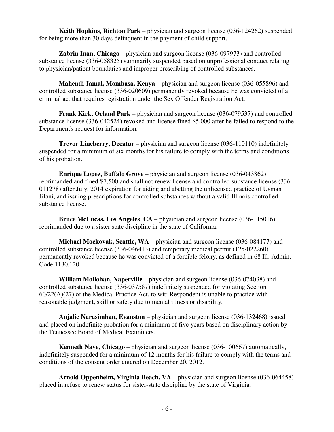**Keith Hopkins, Richton Park** – physician and surgeon license (036-124262) suspended for being more than 30 days delinquent in the payment of child support.

**Zabrin Inan, Chicago** – physician and surgeon license (036-097973) and controlled substance license (336-058325) summarily suspended based on unprofessional conduct relating to physician/patient boundaries and improper prescribing of controlled substances.

**Mahendi Jamal, Mombasa, Kenya** – physician and surgeon license (036-055896) and controlled substance license (336-020609) permanently revoked because he was convicted of a criminal act that requires registration under the Sex Offender Registration Act.

**Frank Kirk, Orland Park** – physician and surgeon license (036-079537) and controlled substance license (336-042524) revoked and license fined \$5,000 after he failed to respond to the Department's request for information.

**Trevor Lineberry, Decatur** – physician and surgeon license (036-110110) indefinitely suspended for a minimum of six months for his failure to comply with the terms and conditions of his probation.

**Enrique Lopez, Buffalo Grove** – physician and surgeon license (036-043862) reprimanded and fined \$7,500 and shall not renew license and controlled substance license (336- 011278) after July, 2014 expiration for aiding and abetting the unlicensed practice of Usman Jilani, and issuing prescriptions for controlled substances without a valid Illinois controlled substance license.

**Bruce McLucas, Los Angeles**, **CA** – physician and surgeon license (036-115016) reprimanded due to a sister state discipline in the state of California.

**Michael Mockovak, Seattle, WA** – physician and surgeon license (036-084177) and controlled substance license (336-046413) and temporary medical permit (125-022260) permanently revoked because he was convicted of a forcible felony, as defined in 68 Ill. Admin. Code 1130.120.

**William Mollohan, Naperville** – physician and surgeon license (036-074038) and controlled substance license (336-037587) indefinitely suspended for violating Section 60/22(A)(27) of the Medical Practice Act, to wit: Respondent is unable to practice with reasonable judgment, skill or safety due to mental illness or disability.

**Anjalie Narasimhan, Evanston** – physician and surgeon license (036-132468) issued and placed on indefinite probation for a minimum of five years based on disciplinary action by the Tennessee Board of Medical Examiners.

**Kenneth Nave, Chicago** – physician and surgeon license (036-100667) automatically, indefinitely suspended for a minimum of 12 months for his failure to comply with the terms and conditions of the consent order entered on December 20, 2012.

**Arnold Oppenheim, Virginia Beach, VA** – physician and surgeon license (036-064458) placed in refuse to renew status for sister-state discipline by the state of Virginia.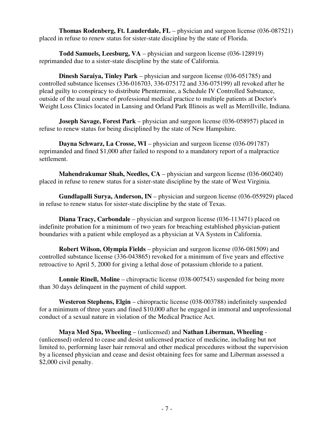**Thomas Rodenberg, Ft. Lauderdale, FL** – physician and surgeon license (036-087521) placed in refuse to renew status for sister-state discipline by the state of Florida.

**Todd Samuels, Leesburg, VA** – physician and surgeon license (036-128919) reprimanded due to a sister-state discipline by the state of California.

**Dinesh Saraiya, Tinley Park** – physician and surgeon license (036-051785) and controlled substance licenses (336-016703, 336-075172 and 336-075199) all revoked after he plead guilty to conspiracy to distribute Phentermine, a Schedule IV Controlled Substance, outside of the usual course of professional medical practice to multiple patients at Doctor's Weight Loss Clinics located in Lansing and Orland Park Illinois as well as Merrillville, Indiana.

**Joseph Savage, Forest Park** – physician and surgeon license (036-058957) placed in refuse to renew status for being disciplined by the state of New Hampshire.

**Dayna Schwarz, La Crosse, WI** – physician and surgeon license (036-091787) reprimanded and fined \$1,000 after failed to respond to a mandatory report of a malpractice settlement.

**Mahendrakumar Shah, Needles, CA** – physician and surgeon license (036-060240) placed in refuse to renew status for a sister-state discipline by the state of West Virginia.

**Gundlapalli Surya, Anderson, IN** – physician and surgeon license (036-055929) placed in refuse to renew status for sister-state discipline by the state of Texas.

**Diana Tracy, Carbondale** – physician and surgeon license (036-113471) placed on indefinite probation for a minimum of two years for breaching established physician-patient boundaries with a patient while employed as a physician at VA System in California.

**Robert Wilson, Olympia Fields** – physician and surgeon license (036-081509) and controlled substance license (336-043865) revoked for a minimum of five years and effective retroactive to April 5, 2000 for giving a lethal dose of potassium chloride to a patient.

**Lonnie Rinell, Moline** – chiropractic license (038-007543) suspended for being more than 30 days delinquent in the payment of child support.

**Westeron Stephens, Elgin** – chiropractic license (038-003788) indefinitely suspended for a minimum of three years and fined \$10,000 after he engaged in immoral and unprofessional conduct of a sexual nature in violation of the Medical Practice Act.

**Maya Med Spa, Wheeling** – (unlicensed) and **Nathan Liberman, Wheeling** - (unlicensed) ordered to cease and desist unlicensed practice of medicine, including but not limited to, performing laser hair removal and other medical procedures without the supervision by a licensed physician and cease and desist obtaining fees for same and Liberman assessed a \$2,000 civil penalty.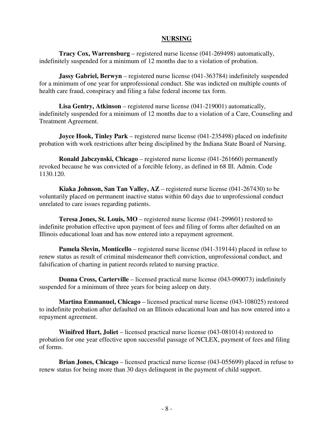#### **NURSING**

**Tracy Cox, Warrensburg** – registered nurse license (041-269498) automatically, indefinitely suspended for a minimum of 12 months due to a violation of probation.

**Jassy Gabriel, Berwyn** – registered nurse license (041-363784) indefinitely suspended for a minimum of one year for unprofessional conduct. She was indicted on multiple counts of health care fraud, conspiracy and filing a false federal income tax form.

**Lisa Gentry, Atkinson** – registered nurse license (041-219001) automatically, indefinitely suspended for a minimum of 12 months due to a violation of a Care, Counseling and Treatment Agreement.

**Joyce Hook, Tinley Park** – registered nurse license (041-235498) placed on indefinite probation with work restrictions after being disciplined by the Indiana State Board of Nursing.

**Ronald Jabczynski, Chicago** – registered nurse license (041-261660) permanently revoked because he was convicted of a forcible felony, as defined in 68 Ill. Admin. Code 1130.120.

**Kiaka Johnson, San Tan Valley, AZ** – registered nurse license (041-267430) to be voluntarily placed on permanent inactive status within 60 days due to unprofessional conduct unrelated to care issues regarding patients.

**Teresa Jones, St. Louis, MO** – registered nurse license (041-299601) restored to indefinite probation effective upon payment of fees and filing of forms after defaulted on an Illinois educational loan and has now entered into a repayment agreement.

**Pamela Slevin, Monticello** – registered nurse license (041-319144) placed in refuse to renew status as result of criminal misdemeanor theft conviction, unprofessional conduct, and falsification of charting in patient records related to nursing practice.

**Donna Cross, Carterville** – licensed practical nurse license (043-090073) indefinitely suspended for a minimum of three years for being asleep on duty.

**Martina Emmanuel, Chicago** – licensed practical nurse license (043-108025) restored to indefinite probation after defaulted on an Illinois educational loan and has now entered into a repayment agreement.

**Winifred Hurt, Joliet** – licensed practical nurse license (043-081014) restored to probation for one year effective upon successful passage of NCLEX, payment of fees and filing of forms.

**Brian Jones, Chicago** – licensed practical nurse license (043-055699) placed in refuse to renew status for being more than 30 days delinquent in the payment of child support.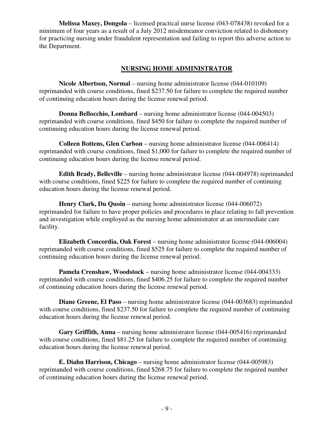**Melissa Maxey, Dongola** – licensed practical nurse license (043-078438) revoked for a minimum of four years as a result of a July 2012 misdemeanor conviction related to dishonesty for practicing nursing under fraudulent representation and failing to report this adverse action to the Department.

#### **NURSING HOME ADMINISTRATOR**

**Nicole Albertson, Normal** – nursing home administrator license (044-010109) reprimanded with course conditions, fined \$237.50 for failure to complete the required number of continuing education hours during the license renewal period.

**Donna Bellocchio, Lombard** – nursing home administrator license (044-004503) reprimanded with course conditions, fined \$450 for failure to complete the required number of continuing education hours during the license renewal period.

**Colleen Bottens, Glen Carbon** – nursing home administrator license (044-006414) reprimanded with course conditions, fined \$1,000 for failure to complete the required number of continuing education hours during the license renewal period.

**Edith Brady, Belleville** – nursing home administrator license (044-004978) reprimanded with course conditions, fined \$225 for failure to complete the required number of continuing education hours during the license renewal period.

**Henry Clark, Du Quoin** – nursing home administrator license (044-006072) reprimanded for failure to have proper policies and procedures in place relating to fall prevention and investigation while employed as the nursing home administrator at an intermediate care facility.

**Elizabeth Concordia, Oak Forest** – nursing home administrator license (044-006004) reprimanded with course conditions, fined \$525 for failure to complete the required number of continuing education hours during the license renewal period.

**Pamela Crenshaw, Woodstock** – nursing home administrator license (044-004333) reprimanded with course conditions, fined \$406.25 for failure to complete the required number of continuing education hours during the license renewal period.

**Diane Greene, El Paso** – nursing home administrator license (044-003683) reprimanded with course conditions, fined \$237.50 for failure to complete the required number of continuing education hours during the license renewal period.

**Gary Griffith, Anna** – nursing home administrator license (044-005416) reprimanded with course conditions, fined \$81.25 for failure to complete the required number of continuing education hours during the license renewal period.

**E. Diahn Harrison, Chicago** – nursing home administrator license (044-005983) reprimanded with course conditions, fined \$268.75 for failure to complete the required number of continuing education hours during the license renewal period.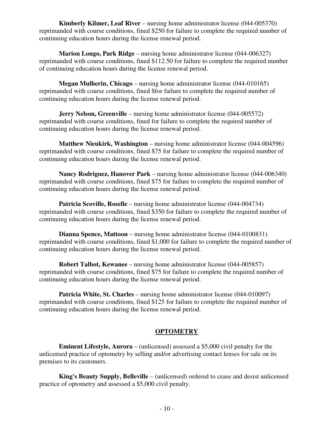**Kimberly Kilmer, Leaf River** – nursing home administrator license (044-005370) reprimanded with course conditions, fined \$250 for failure to complete the required number of continuing education hours during the license renewal period.

**Marion Longo, Park Ridge** – nursing home administrator license (044-006327) reprimanded with course conditions, fined \$112.50 for failure to complete the required number of continuing education hours during the license renewal period.

**Megan Mulherin, Chicago** – nursing home administrator license (044-010165) reprimanded with course conditions, fined \$for failure to complete the required number of continuing education hours during the license renewal period.

**Jerry Nelson, Greenville** – nursing home administrator license (044-005572) reprimanded with course conditions, fined for failure to complete the required number of continuing education hours during the license renewal period.

**Matthew Nieukirk, Washington** – nursing home administrator license (044-004596) reprimanded with course conditions, fined \$75 for failure to complete the required number of continuing education hours during the license renewal period.

**Nancy Rodriguez, Hanover Park** – nursing home administrator license (044-006340) reprimanded with course conditions, fined \$75 for failure to complete the required number of continuing education hours during the license renewal period.

**Patricia Scoville, Roselle** – nursing home administrator license (044-004734) reprimanded with course conditions, fined \$350 for failure to complete the required number of continuing education hours during the license renewal period.

**Dianna Spence, Mattoon** – nursing home administrator license (044-0100831) reprimanded with course conditions, fined \$1,000 for failure to complete the required number of continuing education hours during the license renewal period.

**Robert Talbot, Kewanee** – nursing home administrator license (044-005857) reprimanded with course conditions, fined \$75 for failure to complete the required number of continuing education hours during the license renewal period.

**Patricia White, St. Charles** – nursing home administrator license (044-010097) reprimanded with course conditions, fined \$125 for failure to complete the required number of continuing education hours during the license renewal period.

### **OPTOMETRY**

**Eminent Lifestyle, Aurora** – (unlicensed) assessed a \$5,000 civil penalty for the unlicensed practice of optometry by selling and/or advertising contact lenses for sale on its premises to its customers.

**King's Beauty Supply, Belleville** – (unlicensed) ordered to cease and desist unlicensed practice of optometry and assessed a \$5,000 civil penalty.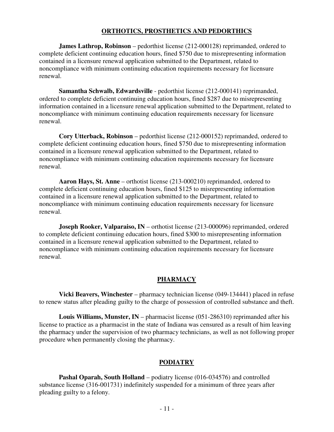#### **ORTHOTICS, PROSTHETICS AND PEDORTHICS**

**James Lathrop, Robinson** – pedorthist license (212-000128) reprimanded, ordered to complete deficient continuing education hours, fined \$750 due to misrepresenting information contained in a licensure renewal application submitted to the Department, related to noncompliance with minimum continuing education requirements necessary for licensure renewal.

**Samantha Schwalb, Edwardsville** - pedorthist license (212-000141) reprimanded, ordered to complete deficient continuing education hours, fined \$287 due to misrepresenting information contained in a licensure renewal application submitted to the Department, related to noncompliance with minimum continuing education requirements necessary for licensure renewal.

**Cory Utterback, Robinson** – pedorthist license (212-000152) reprimanded, ordered to complete deficient continuing education hours, fined \$750 due to misrepresenting information contained in a licensure renewal application submitted to the Department, related to noncompliance with minimum continuing education requirements necessary for licensure renewal.

**Aaron Hays, St. Anne** – orthotist license (213-000210) reprimanded, ordered to complete deficient continuing education hours, fined \$125 to misrepresenting information contained in a licensure renewal application submitted to the Department, related to noncompliance with minimum continuing education requirements necessary for licensure renewal.

**Joseph Rooker, Valparaiso, IN** – orthotist license (213-000096) reprimanded, ordered to complete deficient continuing education hours, fined \$300 to misrepresenting information contained in a licensure renewal application submitted to the Department, related to noncompliance with minimum continuing education requirements necessary for licensure renewal.

#### **PHARMACY**

**Vicki Beavers, Winchester** – pharmacy technician license (049-134441) placed in refuse to renew status after pleading guilty to the charge of possession of controlled substance and theft.

**Louis Williams, Munster, IN** – pharmacist license (051-286310) reprimanded after his license to practice as a pharmacist in the state of Indiana was censured as a result of him leaving the pharmacy under the supervision of two pharmacy technicians, as well as not following proper procedure when permanently closing the pharmacy.

#### **PODIATRY**

**Pashal Oparah, South Holland** – podiatry license (016-034576) and controlled substance license (316-001731) indefinitely suspended for a minimum of three years after pleading guilty to a felony.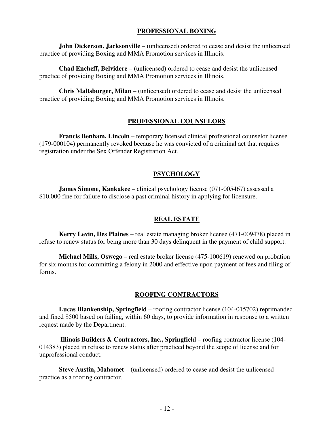#### **PROFESSIONAL BOXING**

**John Dickerson, Jacksonville** – (unlicensed) ordered to cease and desist the unlicensed practice of providing Boxing and MMA Promotion services in Illinois.

**Chad Encheff, Belvidere** – (unlicensed) ordered to cease and desist the unlicensed practice of providing Boxing and MMA Promotion services in Illinois.

**Chris Maltsburger, Milan** – (unlicensed) ordered to cease and desist the unlicensed practice of providing Boxing and MMA Promotion services in Illinois.

#### **PROFESSIONAL COUNSELORS**

**Francis Benham, Lincoln** – temporary licensed clinical professional counselor license (179-000104) permanently revoked because he was convicted of a criminal act that requires registration under the Sex Offender Registration Act.

#### **PSYCHOLOGY**

**James Simone, Kankakee** – clinical psychology license (071-005467) assessed a \$10,000 fine for failure to disclose a past criminal history in applying for licensure.

#### **REAL ESTATE**

**Kerry Levin, Des Plaines** – real estate managing broker license (471-009478) placed in refuse to renew status for being more than 30 days delinquent in the payment of child support.

**Michael Mills, Oswego** – real estate broker license (475-100619) renewed on probation for six months for committing a felony in 2000 and effective upon payment of fees and filing of forms.

#### **ROOFING CONTRACTORS**

**Lucas Blankenship, Springfield** – roofing contractor license (104-015702) reprimanded and fined \$500 based on failing, within 60 days, to provide information in response to a written request made by the Department.

 **Illinois Builders & Contractors, Inc., Springfield** – roofing contractor license (104- 014383) placed in refuse to renew status after practiced beyond the scope of license and for unprofessional conduct.

**Steve Austin, Mahomet** – (unlicensed) ordered to cease and desist the unlicensed practice as a roofing contractor.